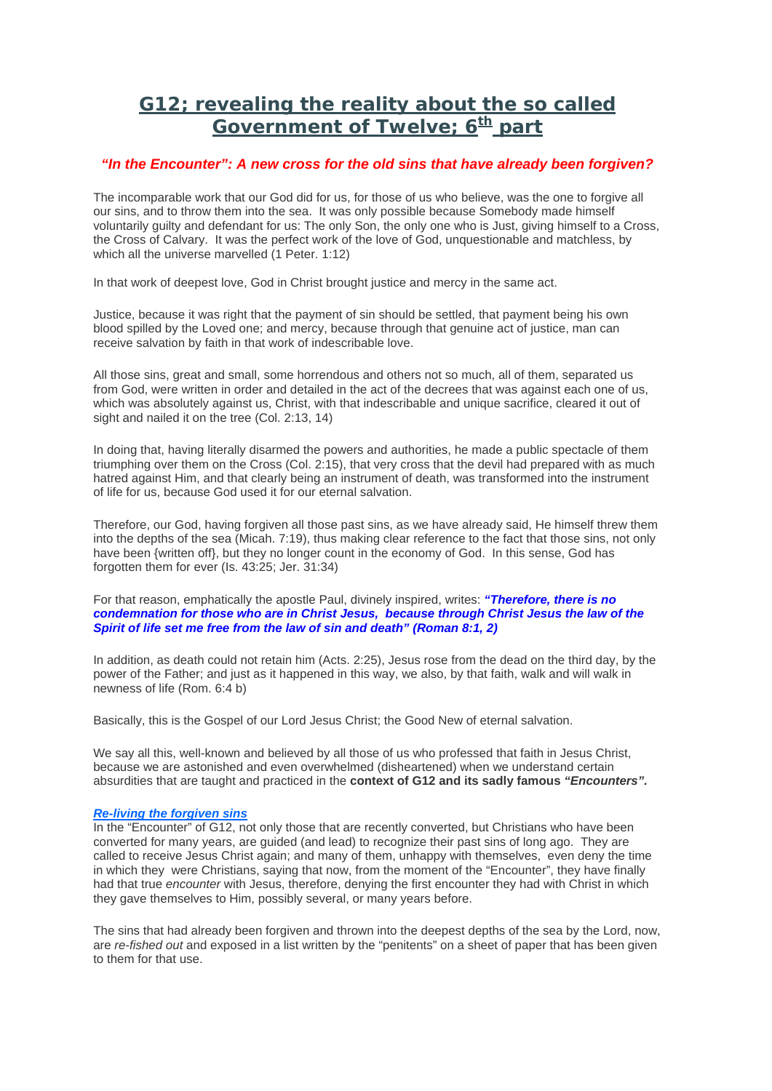# **G12; revealing the reality about the so called Government of Twelve; 6<sup>th</sup> part**

## *"In the Encounter": A new cross for the old sins that have already been forgiven?*

The incomparable work that our God did for us, for those of us who believe, was the one to forgive all our sins, and to throw them into the sea. It was only possible because Somebody made himself voluntarily guilty and defendant for us: The only Son, the only one who is Just, giving himself to a Cross, the Cross of Calvary. It was the perfect work of the love of God, unquestionable and matchless, by which all the universe marvelled (1 Peter. 1:12)

In that work of deepest love, God in Christ brought justice and mercy in the same act.

Justice, because it was right that the payment of sin should be settled, that payment being his own blood spilled by the Loved one; and mercy, because through that genuine act of justice, man can receive salvation by faith in that work of indescribable love.

All those sins, great and small, some horrendous and others not so much, all of them, separated us from God, were written in order and detailed in the act of the decrees that was against each one of us, which was absolutely against us, Christ, with that indescribable and unique sacrifice, cleared it out of sight and nailed it on the tree (Col. 2:13, 14)

In doing that, having literally disarmed the powers and authorities, he made a public spectacle of them triumphing over them on the Cross (Col. 2:15), that very cross that the devil had prepared with as much hatred against Him, and that clearly being an instrument of death, was transformed into the instrument of life for us, because God used it for our eternal salvation.

Therefore, our God, having forgiven all those past sins, as we have already said, He himself threw them into the depths of the sea (Micah. 7:19), thus making clear reference to the fact that those sins, not only have been {written off}, but they no longer count in the economy of God. In this sense, God has forgotten them for ever (Is. 43:25; Jer. 31:34)

For that reason, emphatically the apostle Paul, divinely inspired, writes: *"Therefore, there is no condemnation for those who are in Christ Jesus, because through Christ Jesus the law of the Spirit of life set me free from the law of sin and death" (Roman 8:1, 2)*

In addition, as death could not retain him (Acts. 2:25), Jesus rose from the dead on the third day, by the power of the Father; and just as it happened in this way, we also, by that faith, walk and will walk in newness of life (Rom. 6:4 b)

Basically, this is the Gospel of our Lord Jesus Christ; the Good New of eternal salvation.

We say all this, well-known and believed by all those of us who professed that faith in Jesus Christ, because we are astonished and even overwhelmed (disheartened) when we understand certain absurdities that are taught and practiced in the **context of G12 and its sadly famous** *"Encounters".*

## *Re-living the forgiven sins*

In the "Encounter" of G12, not only those that are recently converted, but Christians who have been converted for many years, are guided (and lead) to recognize their past sins of long ago. They are called to receive Jesus Christ again; and many of them, unhappy with themselves, even deny the time in which they were Christians, saying that now, from the moment of the "Encounter", they have finally had that true *encounter* with Jesus, therefore, denying the first encounter they had with Christ in which they gave themselves to Him, possibly several, or many years before.

The sins that had already been forgiven and thrown into the deepest depths of the sea by the Lord, now, are *re-fished out* and exposed in a list written by the "penitents" on a sheet of paper that has been given to them for that use.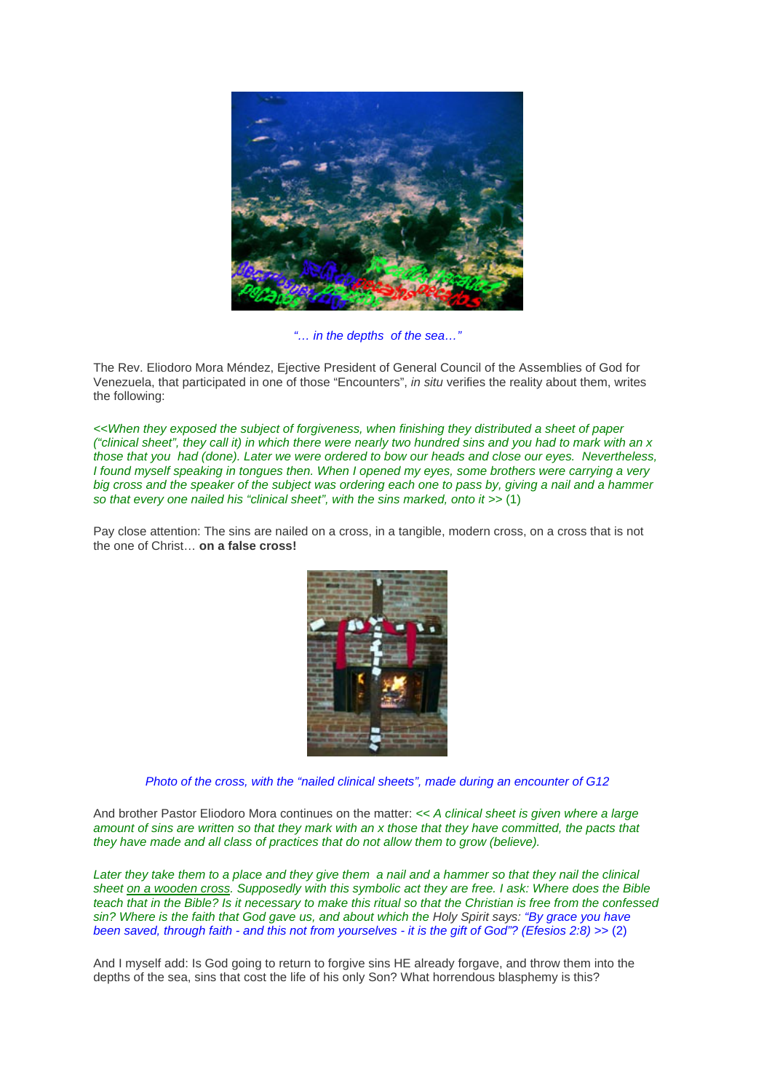

### *"… in the depths of the sea…"*

The Rev. Eliodoro Mora Méndez, Ejective President of General Council of the Assemblies of God for Venezuela, that participated in one of those "Encounters", *in situ* verifies the reality about them, writes the following:

*<<When they exposed the subject of forgiveness, when finishing they distributed a sheet of paper ("clinical sheet", they call it) in which there were nearly two hundred sins and you had to mark with an x those that you had (done). Later we were ordered to bow our heads and close our eyes. Nevertheless, I found myself speaking in tongues then. When I opened my eyes, some brothers were carrying a very big cross and the speaker of the subject was ordering each one to pass by, giving a nail and a hammer so that every one nailed his "clinical sheet", with the sins marked, onto it >>* (1)

Pay close attention: The sins are nailed on a cross, in a tangible, modern cross, on a cross that is not the one of Christ… **on a false cross!**



*Photo of the cross, with the "nailed clinical sheets", made during an encounter of G12* 

And brother Pastor Eliodoro Mora continues on the matter: *<< A clinical sheet is given where a large amount of sins are written so that they mark with an x those that they have committed, the pacts that they have made and all class of practices that do not allow them to grow (believe).*

Later they take them to a place and they give them a nail and a hammer so that they nail the clinical *sheet on a wooden cross. Supposedly with this symbolic act they are free. I ask: Where does the Bible teach that in the Bible? Is it necessary to make this ritual so that the Christian is free from the confessed sin? Where is the faith that God gave us, and about which the Holy Spirit says: "By grace you have been saved, through faith - and this not from yourselves - it is the gift of God"? (Efesios 2:8) >>* (2)

And I myself add: Is God going to return to forgive sins HE already forgave, and throw them into the depths of the sea, sins that cost the life of his only Son? What horrendous blasphemy is this?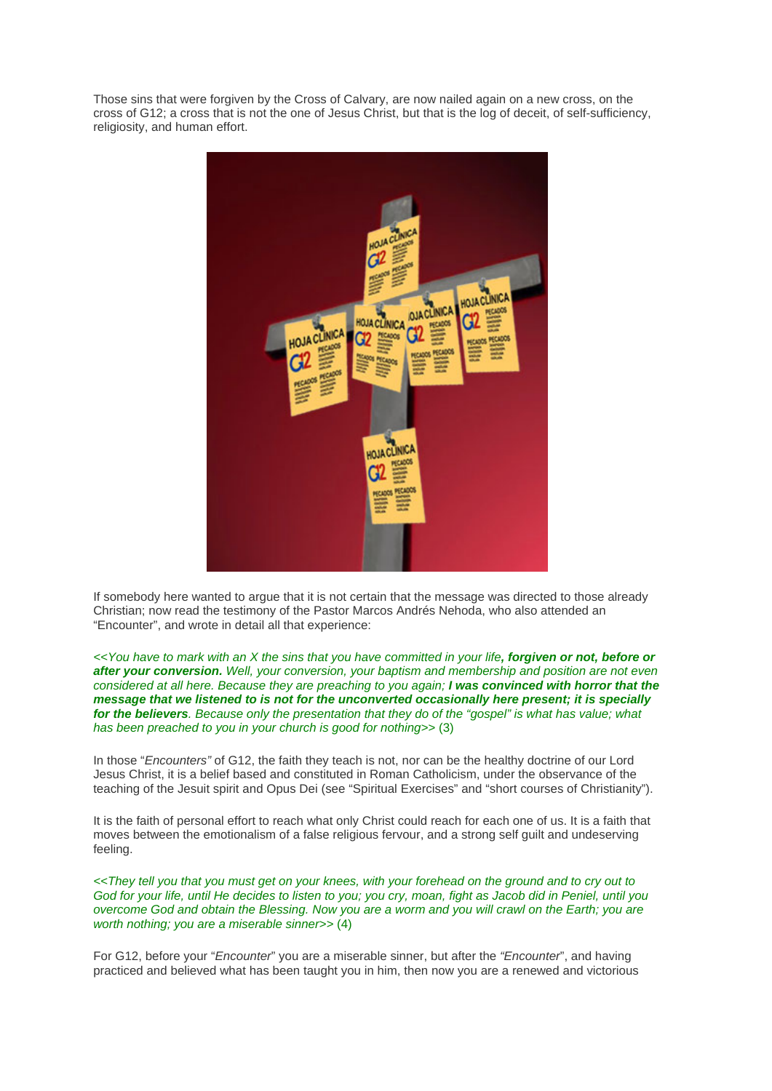Those sins that were forgiven by the Cross of Calvary, are now nailed again on a new cross, on the cross of G12; a cross that is not the one of Jesus Christ, but that is the log of deceit, of self-sufficiency, religiosity, and human effort.



If somebody here wanted to argue that it is not certain that the message was directed to those already Christian; now read the testimony of the Pastor Marcos Andrés Nehoda, who also attended an "Encounter", and wrote in detail all that experience:

*<<You have to mark with an X the sins that you have committed in your life, forgiven or not, before or after your conversion. Well, your conversion, your baptism and membership and position are not even considered at all here. Because they are preaching to you again; I was convinced with horror that the message that we listened to is not for the unconverted occasionally here present; it is specially for the believers. Because only the presentation that they do of the "gospel" is what has value; what has been preached to you in your church is good for nothing>>* (3)

In those "*Encounters"* of G12, the faith they teach is not, nor can be the healthy doctrine of our Lord Jesus Christ, it is a belief based and constituted in Roman Catholicism, under the observance of the teaching of the Jesuit spirit and Opus Dei (see "Spiritual Exercises" and "short courses of Christianity").

It is the faith of personal effort to reach what only Christ could reach for each one of us. It is a faith that moves between the emotionalism of a false religious fervour, and a strong self guilt and undeserving feeling.

*<<They tell you that you must get on your knees, with your forehead on the ground and to cry out to God for your life, until He decides to listen to you; you cry, moan, fight as Jacob did in Peniel, until you overcome God and obtain the Blessing. Now you are a worm and you will crawl on the Earth; you are worth nothing; you are a miserable sinner>>* (4)

For G12, before your "*Encounter*" you are a miserable sinner, but after the *"Encounter*", and having practiced and believed what has been taught you in him, then now you are a renewed and victorious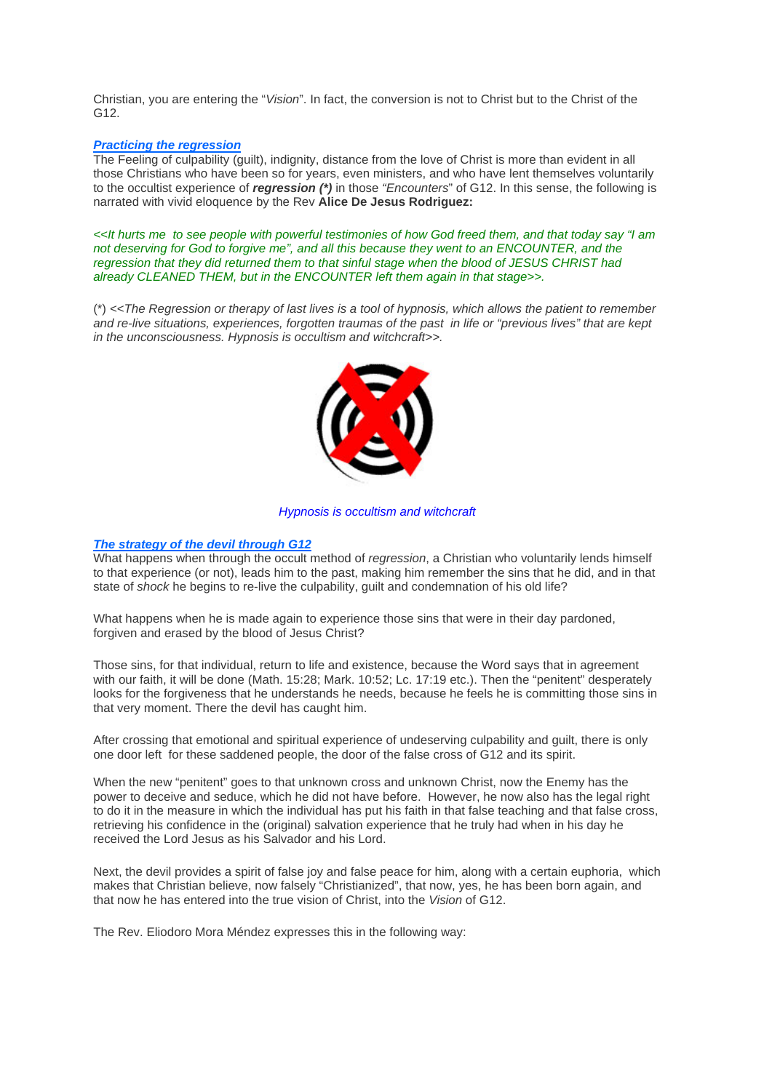Christian, you are entering the "*Vision*". In fact, the conversion is not to Christ but to the Christ of the G12.

#### *Practicing the regression*

The Feeling of culpability (guilt), indignity, distance from the love of Christ is more than evident in all those Christians who have been so for years, even ministers, and who have lent themselves voluntarily to the occultist experience of *regression (\*)* in those *"Encounters*" of G12. In this sense, the following is narrated with vivid eloquence by the Rev **Alice De Jesus Rodriguez:**

*<<It hurts me to see people with powerful testimonies of how God freed them, and that today say "I am not deserving for God to forgive me", and all this because they went to an ENCOUNTER, and the regression that they did returned them to that sinful stage when the blood of JESUS CHRIST had already CLEANED THEM, but in the ENCOUNTER left them again in that stage>>.*

(\*) *<<The Regression or therapy of last lives is a tool of hypnosis, which allows the patient to remember and re-live situations, experiences, forgotten traumas of the past in life or "previous lives" that are kept in the unconsciousness. Hypnosis is occultism and witchcraft>>.*



#### *Hypnosis is occultism and witchcraft*

#### *The strategy of the devil through G12*

What happens when through the occult method of *regression*, a Christian who voluntarily lends himself to that experience (or not), leads him to the past, making him remember the sins that he did, and in that state of *shock* he begins to re-live the culpability, guilt and condemnation of his old life?

What happens when he is made again to experience those sins that were in their day pardoned, forgiven and erased by the blood of Jesus Christ?

Those sins, for that individual, return to life and existence, because the Word says that in agreement with our faith, it will be done (Math. 15:28; Mark. 10:52; Lc. 17:19 etc.). Then the "penitent" desperately looks for the forgiveness that he understands he needs, because he feels he is committing those sins in that very moment. There the devil has caught him.

After crossing that emotional and spiritual experience of undeserving culpability and guilt, there is only one door left for these saddened people, the door of the false cross of G12 and its spirit.

When the new "penitent" goes to that unknown cross and unknown Christ, now the Enemy has the power to deceive and seduce, which he did not have before. However, he now also has the legal right to do it in the measure in which the individual has put his faith in that false teaching and that false cross, retrieving his confidence in the (original) salvation experience that he truly had when in his day he received the Lord Jesus as his Salvador and his Lord.

Next, the devil provides a spirit of false joy and false peace for him, along with a certain euphoria, which makes that Christian believe, now falsely "Christianized", that now, yes, he has been born again, and that now he has entered into the true vision of Christ, into the *Vision* of G12.

The Rev. Eliodoro Mora Méndez expresses this in the following way: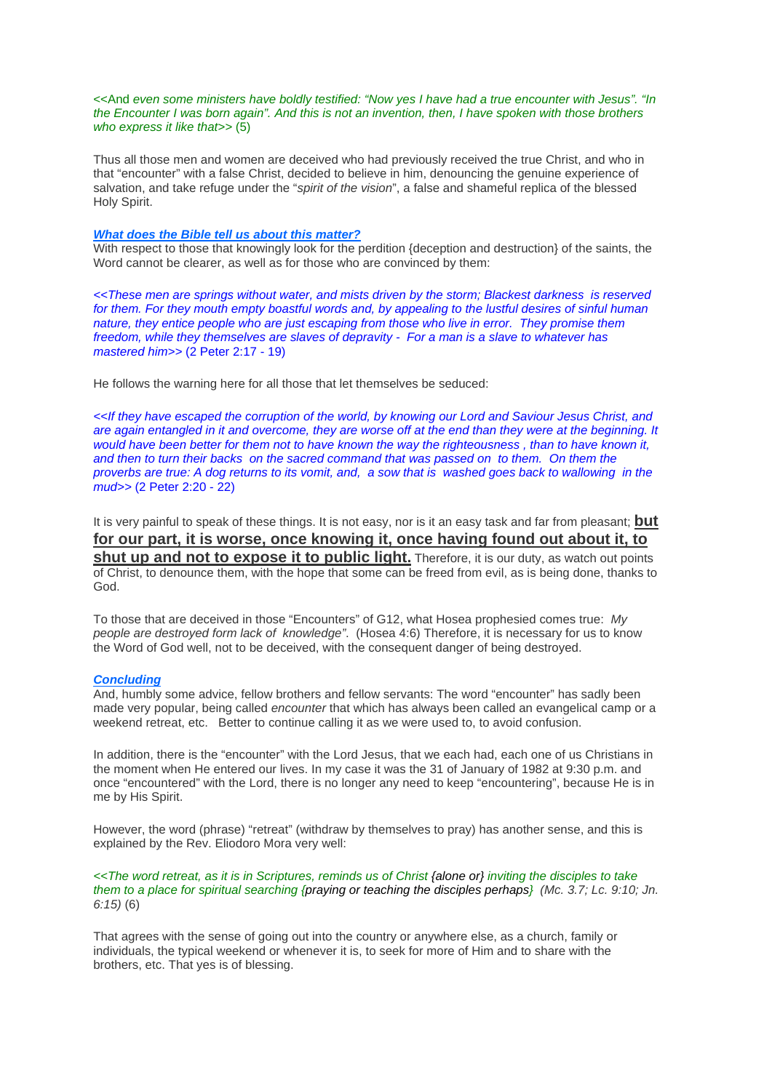#### <<And *even some ministers have boldly testified: "Now yes I have had a true encounter with Jesus". "In the Encounter I was born again". And this is not an invention, then, I have spoken with those brothers who express it like that>>* (5)

Thus all those men and women are deceived who had previously received the true Christ, and who in that "encounter" with a false Christ, decided to believe in him, denouncing the genuine experience of salvation, and take refuge under the "*spirit of the vision*", a false and shameful replica of the blessed Holy Spirit.

#### *What does the Bible tell us about this matter?*

With respect to those that knowingly look for the perdition {deception and destruction} of the saints, the Word cannot be clearer, as well as for those who are convinced by them:

*<<These men are springs without water, and mists driven by the storm; Blackest darkness is reserved*  for them. For they mouth empty boastful words and, by appealing to the lustful desires of sinful human *nature, they entice people who are just escaping from those who live in error. They promise them freedom, while they themselves are slaves of depravity - For a man is a slave to whatever has mastered him>>* (2 Peter 2:17 - 19)

He follows the warning here for all those that let themselves be seduced:

*<<If they have escaped the corruption of the world, by knowing our Lord and Saviour Jesus Christ, and are again entangled in it and overcome, they are worse off at the end than they were at the beginning. It would have been better for them not to have known the way the righteousness , than to have known it, and then to turn their backs on the sacred command that was passed on to them. On them the proverbs are true: A dog returns to its vomit, and, a sow that is washed goes back to wallowing in the mud>>* (2 Peter 2:20 - 22)

It is very painful to speak of these things. It is not easy, nor is it an easy task and far from pleasant; **but for our part, it is worse, once knowing it, once having found out about it, to shut up and not to expose it to public light.** Therefore, it is our duty, as watch out points of Christ, to denounce them, with the hope that some can be freed from evil, as is being done, thanks to God.

To those that are deceived in those "Encounters" of G12, what Hosea prophesied comes true: *My people are destroyed form lack of knowledge"*. (Hosea 4:6) Therefore, it is necessary for us to know the Word of God well, not to be deceived, with the consequent danger of being destroyed.

#### *Concluding*

And, humbly some advice, fellow brothers and fellow servants: The word "encounter" has sadly been made very popular, being called *encounter* that which has always been called an evangelical camp or a weekend retreat, etc. Better to continue calling it as we were used to, to avoid confusion.

In addition, there is the "encounter" with the Lord Jesus, that we each had, each one of us Christians in the moment when He entered our lives. In my case it was the 31 of January of 1982 at 9:30 p.m. and once "encountered" with the Lord, there is no longer any need to keep "encountering", because He is in me by His Spirit.

However, the word (phrase) "retreat" (withdraw by themselves to pray) has another sense, and this is explained by the Rev. Eliodoro Mora very well:

*<<The word retreat, as it is in Scriptures, reminds us of Christ {alone or} inviting the disciples to take them to a place for spiritual searching {praying or teaching the disciples perhaps} (Mc. 3.7; Lc. 9:10; Jn. 6:15)* (6)

That agrees with the sense of going out into the country or anywhere else, as a church, family or individuals, the typical weekend or whenever it is, to seek for more of Him and to share with the brothers, etc. That yes is of blessing.